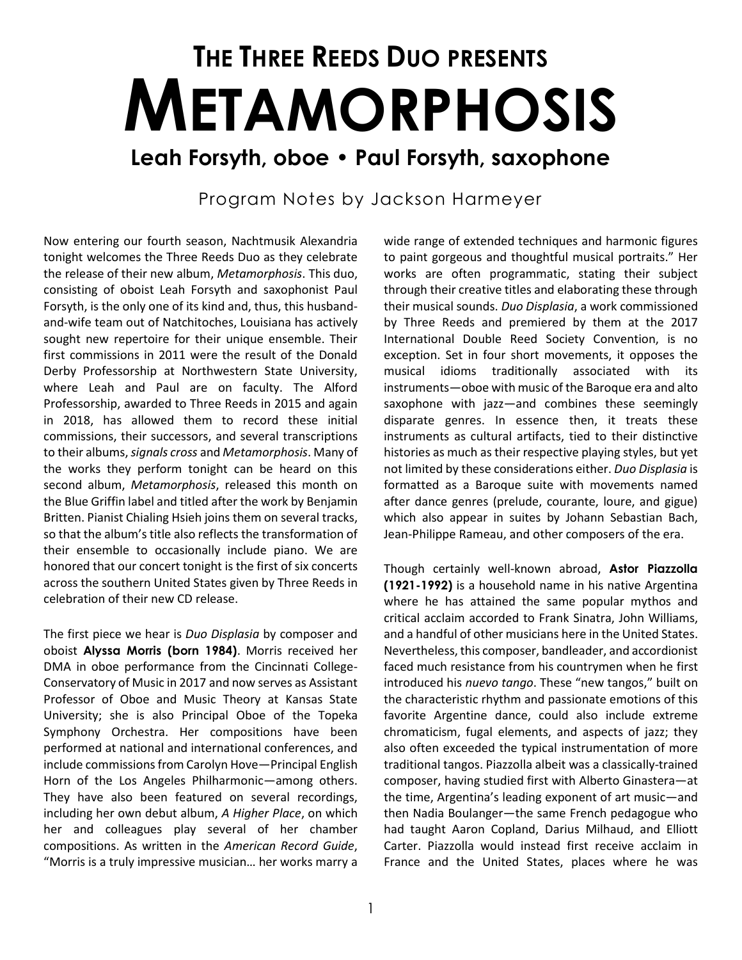## **THE THREE REEDS DUO PRESENTS METAMORPHOSIS Leah Forsyth, oboe • Paul Forsyth, saxophone**

## Program Notes by Jackson Harmeyer

Now entering our fourth season, Nachtmusik Alexandria tonight welcomes the Three Reeds Duo as they celebrate the release of their new album, *Metamorphosis*. This duo, consisting of oboist Leah Forsyth and saxophonist Paul Forsyth, is the only one of its kind and, thus, this husbandand-wife team out of Natchitoches, Louisiana has actively sought new repertoire for their unique ensemble. Their first commissions in 2011 were the result of the Donald Derby Professorship at Northwestern State University, where Leah and Paul are on faculty. The Alford Professorship, awarded to Three Reeds in 2015 and again in 2018, has allowed them to record these initial commissions, their successors, and several transcriptions to their albums, *signals cross* and *Metamorphosis*. Many of the works they perform tonight can be heard on this second album, *Metamorphosis*, released this month on the Blue Griffin label and titled after the work by Benjamin Britten. Pianist Chialing Hsieh joins them on several tracks, so that the album's title also reflects the transformation of their ensemble to occasionally include piano. We are honored that our concert tonight is the first of six concerts across the southern United States given by Three Reeds in celebration of their new CD release.

The first piece we hear is *Duo Displasia* by composer and oboist **Alyssa Morris (born 1984)**. Morris received her DMA in oboe performance from the Cincinnati College-Conservatory of Music in 2017 and now serves as Assistant Professor of Oboe and Music Theory at Kansas State University; she is also Principal Oboe of the Topeka Symphony Orchestra. Her compositions have been performed at national and international conferences, and include commissions from Carolyn Hove—Principal English Horn of the Los Angeles Philharmonic—among others. They have also been featured on several recordings, including her own debut album, *A Higher Place*, on which her and colleagues play several of her chamber compositions. As written in the *American Record Guide*, "Morris is a truly impressive musician… her works marry a wide range of extended techniques and harmonic figures to paint gorgeous and thoughtful musical portraits." Her works are often programmatic, stating their subject through their creative titles and elaborating these through their musical sounds. *Duo Displasia*, a work commissioned by Three Reeds and premiered by them at the 2017 International Double Reed Society Convention, is no exception. Set in four short movements, it opposes the musical idioms traditionally associated with its instruments—oboe with music of the Baroque era and alto saxophone with jazz—and combines these seemingly disparate genres. In essence then, it treats these instruments as cultural artifacts, tied to their distinctive histories as much as their respective playing styles, but yet not limited by these considerations either. *Duo Displasia* is formatted as a Baroque suite with movements named after dance genres (prelude, courante, loure, and gigue) which also appear in suites by Johann Sebastian Bach, Jean-Philippe Rameau, and other composers of the era.

Though certainly well-known abroad, **Astor Piazzolla (1921-1992)** is a household name in his native Argentina where he has attained the same popular mythos and critical acclaim accorded to Frank Sinatra, John Williams, and a handful of other musicians here in the United States. Nevertheless, this composer, bandleader, and accordionist faced much resistance from his countrymen when he first introduced his *nuevo tango*. These "new tangos," built on the characteristic rhythm and passionate emotions of this favorite Argentine dance, could also include extreme chromaticism, fugal elements, and aspects of jazz; they also often exceeded the typical instrumentation of more traditional tangos. Piazzolla albeit was a classically-trained composer, having studied first with Alberto Ginastera—at the time, Argentina's leading exponent of art music—and then Nadia Boulanger—the same French pedagogue who had taught Aaron Copland, Darius Milhaud, and Elliott Carter. Piazzolla would instead first receive acclaim in France and the United States, places where he was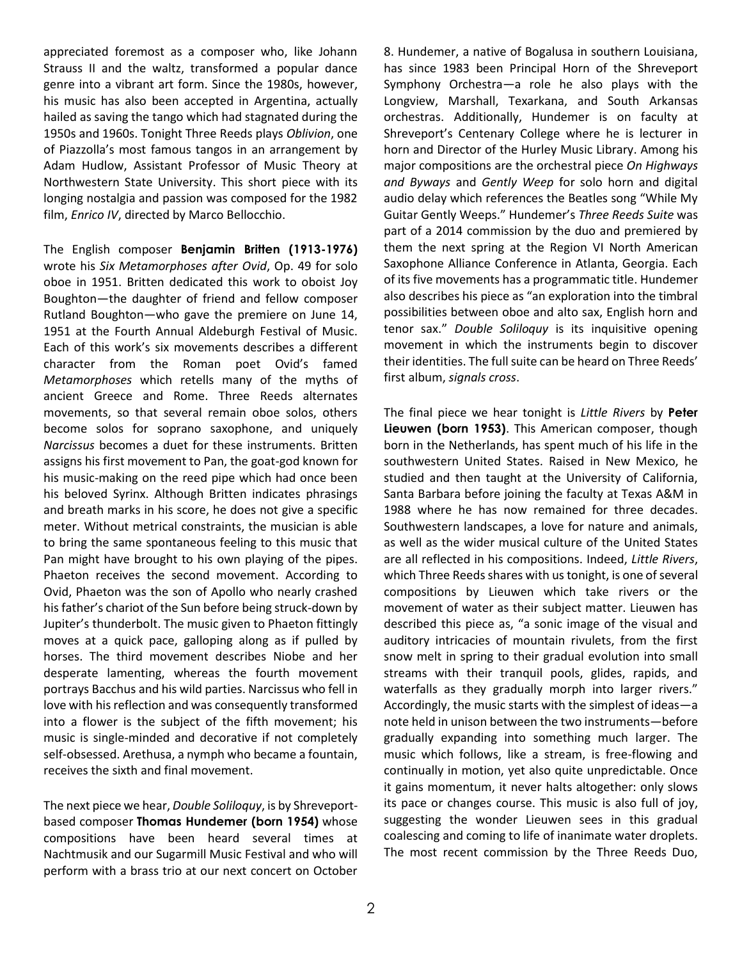appreciated foremost as a composer who, like Johann Strauss II and the waltz, transformed a popular dance genre into a vibrant art form. Since the 1980s, however, his music has also been accepted in Argentina, actually hailed as saving the tango which had stagnated during the 1950s and 1960s. Tonight Three Reeds plays *Oblivion*, one of Piazzolla's most famous tangos in an arrangement by Adam Hudlow, Assistant Professor of Music Theory at Northwestern State University. This short piece with its longing nostalgia and passion was composed for the 1982 film, *Enrico IV*, directed by Marco Bellocchio.

The English composer **Benjamin Britten (1913-1976)** wrote his *Six Metamorphoses after Ovid*, Op. 49 for solo oboe in 1951. Britten dedicated this work to oboist Joy Boughton—the daughter of friend and fellow composer Rutland Boughton—who gave the premiere on June 14, 1951 at the Fourth Annual Aldeburgh Festival of Music. Each of this work's six movements describes a different character from the Roman poet Ovid's famed *Metamorphoses* which retells many of the myths of ancient Greece and Rome. Three Reeds alternates movements, so that several remain oboe solos, others become solos for soprano saxophone, and uniquely *Narcissus* becomes a duet for these instruments. Britten assigns his first movement to Pan, the goat-god known for his music-making on the reed pipe which had once been his beloved Syrinx. Although Britten indicates phrasings and breath marks in his score, he does not give a specific meter. Without metrical constraints, the musician is able to bring the same spontaneous feeling to this music that Pan might have brought to his own playing of the pipes. Phaeton receives the second movement. According to Ovid, Phaeton was the son of Apollo who nearly crashed his father's chariot of the Sun before being struck-down by Jupiter's thunderbolt. The music given to Phaeton fittingly moves at a quick pace, galloping along as if pulled by horses. The third movement describes Niobe and her desperate lamenting, whereas the fourth movement portrays Bacchus and his wild parties. Narcissus who fell in love with his reflection and was consequently transformed into a flower is the subject of the fifth movement; his music is single-minded and decorative if not completely self-obsessed. Arethusa, a nymph who became a fountain, receives the sixth and final movement.

The next piece we hear, *Double Soliloquy*, is by Shreveportbased composer **Thomas Hundemer (born 1954)** whose compositions have been heard several times at Nachtmusik and our Sugarmill Music Festival and who will perform with a brass trio at our next concert on October 8. Hundemer, a native of Bogalusa in southern Louisiana, has since 1983 been Principal Horn of the Shreveport Symphony Orchestra—a role he also plays with the Longview, Marshall, Texarkana, and South Arkansas orchestras. Additionally, Hundemer is on faculty at Shreveport's Centenary College where he is lecturer in horn and Director of the Hurley Music Library. Among his major compositions are the orchestral piece *On Highways and Byways* and *Gently Weep* for solo horn and digital audio delay which references the Beatles song "While My Guitar Gently Weeps." Hundemer's *Three Reeds Suite* was part of a 2014 commission by the duo and premiered by them the next spring at the Region VI North American Saxophone Alliance Conference in Atlanta, Georgia. Each of its five movements has a programmatic title. Hundemer also describes his piece as "an exploration into the timbral possibilities between oboe and alto sax, English horn and tenor sax." *Double Soliloquy* is its inquisitive opening movement in which the instruments begin to discover their identities. The full suite can be heard on Three Reeds' first album, *signals cross*.

The final piece we hear tonight is *Little Rivers* by **Peter Lieuwen (born 1953)**. This American composer, though born in the Netherlands, has spent much of his life in the southwestern United States. Raised in New Mexico, he studied and then taught at the University of California, Santa Barbara before joining the faculty at Texas A&M in 1988 where he has now remained for three decades. Southwestern landscapes, a love for nature and animals, as well as the wider musical culture of the United States are all reflected in his compositions. Indeed, *Little Rivers*, which Three Reeds shares with us tonight, is one of several compositions by Lieuwen which take rivers or the movement of water as their subject matter. Lieuwen has described this piece as, "a sonic image of the visual and auditory intricacies of mountain rivulets, from the first snow melt in spring to their gradual evolution into small streams with their tranquil pools, glides, rapids, and waterfalls as they gradually morph into larger rivers." Accordingly, the music starts with the simplest of ideas—a note held in unison between the two instruments—before gradually expanding into something much larger. The music which follows, like a stream, is free-flowing and continually in motion, yet also quite unpredictable. Once it gains momentum, it never halts altogether: only slows its pace or changes course. This music is also full of joy, suggesting the wonder Lieuwen sees in this gradual coalescing and coming to life of inanimate water droplets. The most recent commission by the Three Reeds Duo,